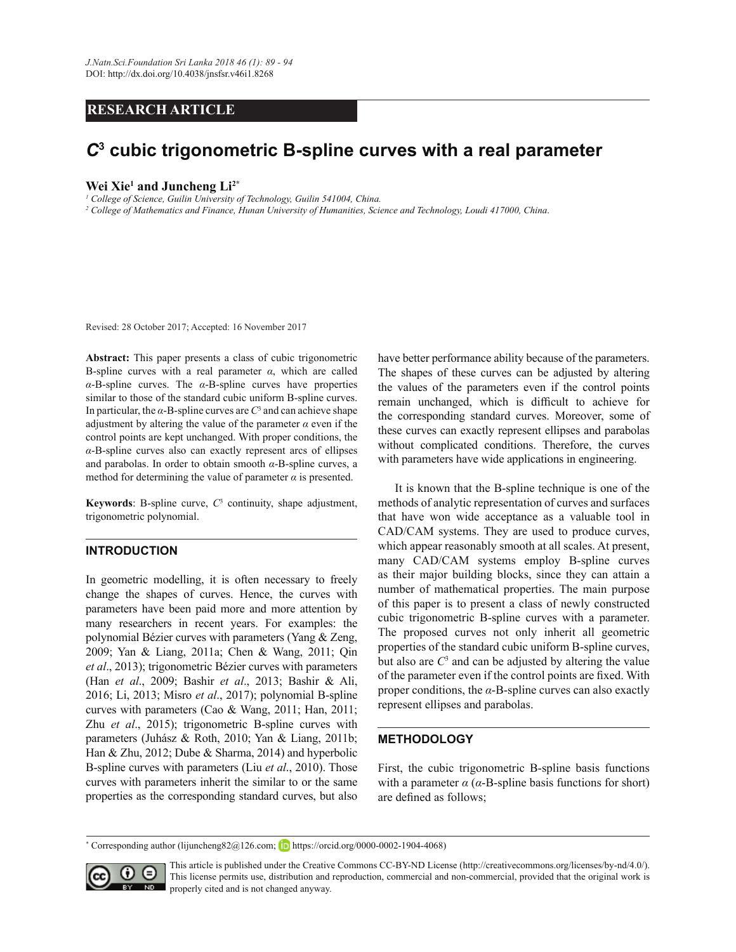## **RESEARCH ARTICLE**

# *C***<sup>3</sup> cubic trigonometric B-spline curves with a real parameter**

#### **Wei Xie<sup>1</sup> and Juncheng Li2\***

<sup>1</sup> College of Science, Guilin University of Technology, Guilin 541004, China.

<sup>2</sup> College of Mathematics and Finance, Hunan University of Humanities, Science and Technology, Loudi 417000, China.

Revised: 28 October 2017; Accepted: 16 November 2017

**Abstract:** This paper presents a class of cubic trigonometric B-spline curves with a real parameter  $\alpha$ , which are called  $\alpha$ -B-spline curves. The  $\alpha$ -B-spline curves have properties similar to those of the standard cubic uniform B-spline curves. In particular, the  $\alpha$ -B-spline curves are  $C^3$  and can achieve shape adjustment by altering the value of the parameter  $\alpha$  even if the control points are kept unchanged. With proper conditions, the  $\alpha$ -B-spline curves also can exactly represent arcs of ellipses and parabolas. In order to obtain smooth  $\alpha$ -B-spline curves, a method for determining the value of parameter  $\alpha$  is presented.

**Keywords**: B-spline curve,  $C<sup>3</sup>$  continuity, shape adjustment, trigonometric polynomial.

#### **INTRODUCTION**

In geometric modelling, it is often necessary to freely change the shapes of curves. Hence, the curves with parameters have been paid more and more attention by many researchers in recent years. For examples: the polynomial Bézier curves with parameters (Yang & Zeng, 2009; Yan & Liang, 2011a; Chen & Wang, 2011; Qin *et al*., 2013); trigonometric Bézier curves with parameters (Han *et al*., 2009; Bashir *et al*., 2013; Bashir & Ali, 2016; Li, 2013; Misro *et al*., 2017); polynomial B-spline curves with parameters (Cao & Wang, 2011; Han, 2011; Zhu *et al*., 2015); trigonometric B-spline curves with parameters (Juhász & Roth, 2010; Yan & Liang, 2011b; Han & Zhu, 2012; Dube & Sharma, 2014) and hyperbolic B-spline curves with parameters (Liu *et al*., 2010). Those curves with parameters inherit the similar to or the same properties as the corresponding standard curves, but also

have better performance ability because of the parameters. The shapes of these curves can be adjusted by altering the values of the parameters even if the control points remain unchanged, which is difficult to achieve for the corresponding standard curves. Moreover, some of these curves can exactly represent ellipses and parabolas without complicated conditions. Therefore, the curves with parameters have wide applications in engineering.

 It is known that the B-spline technique is one of the methods of analytic representation of curves and surfaces that have won wide acceptance as a valuable tool in CAD/CAM systems. They are used to produce curves, which appear reasonably smooth at all scales. At present, many CAD/CAM systems employ B-spline curves as their major building blocks, since they can attain a number of mathematical properties. The main purpose of this paper is to present a class of newly constructed cubic trigonometric B-spline curves with a parameter. The proposed curves not only inherit all geometric properties of the standard cubic uniform B-spline curves, but also are  $C<sup>3</sup>$  and can be adjusted by altering the value of the parameter even if the control points are fixed. With proper conditions, the  $\alpha$ -B-spline curves can also exactly represent ellipses and parabolas.

#### **METHODOLOGY**

First, the cubic trigonometric B-spline basis functions with a parameter  $\alpha$  ( $\alpha$ -B-spline basis functions for short) are defined as follows;

\* Corresponding author (lijuncheng $82@126$ .com; in https://orcid.org/0000-0002-1904-4068)



This article is published under the Creative Commons CC-BY-ND License (http://creativecommons.org/licenses/by-nd/4.0/). This license permits use, distribution and reproduction, commercial and non-commercial, provided that the original work is properly cited and is not changed anyway.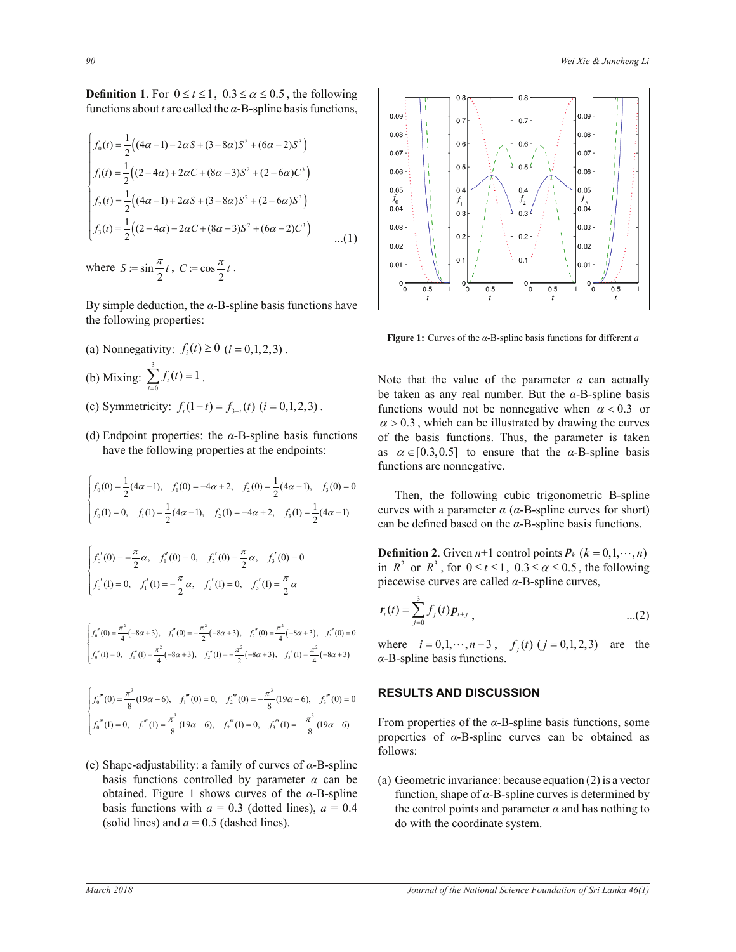**Definition 1.** For  $0 \le t \le 1$ ,  $0.3 \le \alpha \le 0.5$ , the following functions about *t* are called the  $\alpha$ -B-spline basis functions,

$$
\begin{cases}\nf_0(t) = \frac{1}{2} \Big( (4\alpha - 1) - 2\alpha S + (3 - 8\alpha) S^2 + (6\alpha - 2) S^3 \Big) \\
f_1(t) = \frac{1}{2} \Big( (2 - 4\alpha) + 2\alpha C + (8\alpha - 3) S^2 + (2 - 6\alpha) C^3 \Big) \\
f_2(t) = \frac{1}{2} \Big( (4\alpha - 1) + 2\alpha S + (3 - 8\alpha) S^2 + (2 - 6\alpha) S^3 \Big) \\
f_3(t) = \frac{1}{2} \Big( (2 - 4\alpha) - 2\alpha C + (8\alpha - 3) S^2 + (6\alpha - 2) C^3 \Big) \qquad \dots (1)\n\end{cases}
$$

where  $S := \sin \frac{\pi}{2} t$ ,  $C := \cos \frac{\pi}{2} t$ .

By simple deduction, the  $\alpha$ -B-spline basis functions have the following properties:

- (a) Nonnegativity:  $f_i(t) \ge 0$  ( $i = 0, 1, 2, 3$ ). (b) Mixing: 3  $\sum_{i=0} f_i(t) \equiv 1$  $f_i(t)$  $\sum_{i=0}^{3} f_i(t) \equiv 1$ .
- (c) Symmetricity:  $f_i(1-t) = f_{3-i}(t)$  ( $i = 0,1,2,3$ ).
- (d) Endpoint properties: the  $\alpha$ -B-spline basis functions have the following properties at the endpoints:

$$
\begin{cases}\nf_0(0) = \frac{1}{2}(4\alpha - 1), & f_1(0) = -4\alpha + 2, & f_2(0) = \frac{1}{2}(4\alpha - 1), & f_3(0) = 0 \text{ Then,} \\
f_0(1) = 0, & f_1(1) = \frac{1}{2}(4\alpha - 1), & f_2(1) = -4\alpha + 2, & f_3(1) = \frac{1}{2}(4\alpha - 1) \text{ curves with } \\
\text{can be de} \\
\int f_0'(0) = -\frac{\pi}{2}\alpha, & f_1'(0) = 0, & f_2'(0) = \frac{\pi}{2}\alpha, & f_3'(0) = 0 \text{ Definition } \\
f_0'(1) = 0, & f_1'(1) = -\frac{\pi}{2}\alpha, & f_2'(1) = 0, & f_3'(1) = \frac{\pi}{2}\alpha \text{ piecewise}\n\end{cases}
$$

 $\int_{0}^{2} (-8\alpha + 3), f''(0) = -\frac{\pi^{2}}{2} (-8\alpha + 3), f''(0) = \frac{\pi^{2}}{4} (-8\alpha + 3), f''(0) = 0$  $\frac{1}{2}$   $(-8\alpha + 3)$ ,  $f_2''(1) = -\frac{\pi^2}{2} (-8\alpha + 3)$ ,  $f_3''(1) = \frac{\pi^2}{4} (-8\alpha + 3)$  $\int_0^{\pi} f(0) = \frac{\pi^2}{4} (-8\alpha + 3), \quad f''_1(0) = -\frac{\pi^2}{2} (-8\alpha + 3), \quad f''_2(0) = \frac{\pi^2}{4} (-8\alpha + 3), \quad f''_3(0) = 0$  $f_0''(1) = 0, \quad f_1''(1) = \frac{\pi^2}{4}(-8\alpha + 3), \quad f_2''(1) = -\frac{\pi^2}{2}(-8\alpha + 3), \quad f_3''(1) = \frac{\pi^2}{4}(-8\alpha + 3)$  $\begin{cases} \n\int_0^{\pi} (1) = 0, & f_1''(1) = \frac{\pi^2}{4} (-8\alpha + 3), & f_2''(1) = -\frac{\pi^2}{2} (-8\alpha + 3), & f_3''(1) = \frac{\pi^2}{4} (-8\alpha + 3) \n\end{cases}$ 

$$
\begin{cases}\nf_0'''(0) = \frac{\pi^3}{8}(19\alpha - 6), & f_1'''(0) = 0, \quad f_2'''(0) = -\frac{\pi^3}{8}(19\alpha - 6), & f_3'''(0) = 0\n\end{cases}
$$
\n**RESULTS AND DISCUSSI**\n
$$
\begin{cases}\nf_0'''(1) = 0, & f_1'''(1) = \frac{\pi^3}{8}(19\alpha - 6), & f_2'''(1) = 0, \quad f_3'''(1) = -\frac{\pi^3}{8}(19\alpha - 6)\n\end{cases}
$$
\nFrom properties of the  $\alpha$ -B-s

(e) Shape-adjustability: a family of curves of  $\alpha$ -B-spline basis functions controlled by parameter  $\alpha$  can be obtained. Figure 1 shows curves of the  $\alpha$ -B-spline basis functions with  $a = 0.3$  (dotted lines),  $a = 0.4$ (solid lines) and  $a = 0.5$  (dashed lines).



*Figure 1: Curves of the α-B-spline basis functions for different <i>a* 

 $g(t)$  (*i* = 0,1,2,3). **functions would not be nonnegative when**  $\alpha$  **< 0.3 or** Note that the value of the parameter *a* can actually be taken as any real number. But the  $\alpha$ -B-spline basis  $\alpha$  > 0.3, which can be illustrated by drawing the curves of the basis functions. Thus, the parameter is taken as  $\alpha \in [0.3, 0.5]$  to ensure that the  $\alpha$ -B-spline basis functions are nonnegative.

> Then, the following cubic trigonometric B-spline curves with a parameter  $\alpha$  ( $\alpha$ -B-spline curves for short) can be defined based on the  $\alpha$ -B-spline basis functions.

> **Definition 2**. Given  $n+1$  control points  $P_k$  ( $k = 0, 1, \dots, n$ ) in  $R^2$  or  $R^3$ , for  $0 \le t \le 1$ ,  $0.3 \le \alpha \le 0.5$ , the following piecewise curves are called  $\alpha$ -B-spline curves,

$$
r_i(t) = \sum_{j=0}^{3} f_j(t) p_{i+j}, \qquad ...(2)
$$

 $\alpha$ -B-spline basis functions. where  $i = 0, 1, \dots, n-3$ ,  $f_j(t)$  ( $j = 0, 1, 2, 3$ ) are the

## **RESULTS AND DISCUSSION**

From properties of the  $\alpha$ -B-spline basis functions, some properties of  $\alpha$ -B-spline curves can be obtained as follows:

(a) Geometric invariance: because equation (2) is a vector function, shape of  $\alpha$ -B-spline curves is determined by the control points and parameter  $\alpha$  and has nothing to do with the coordinate system.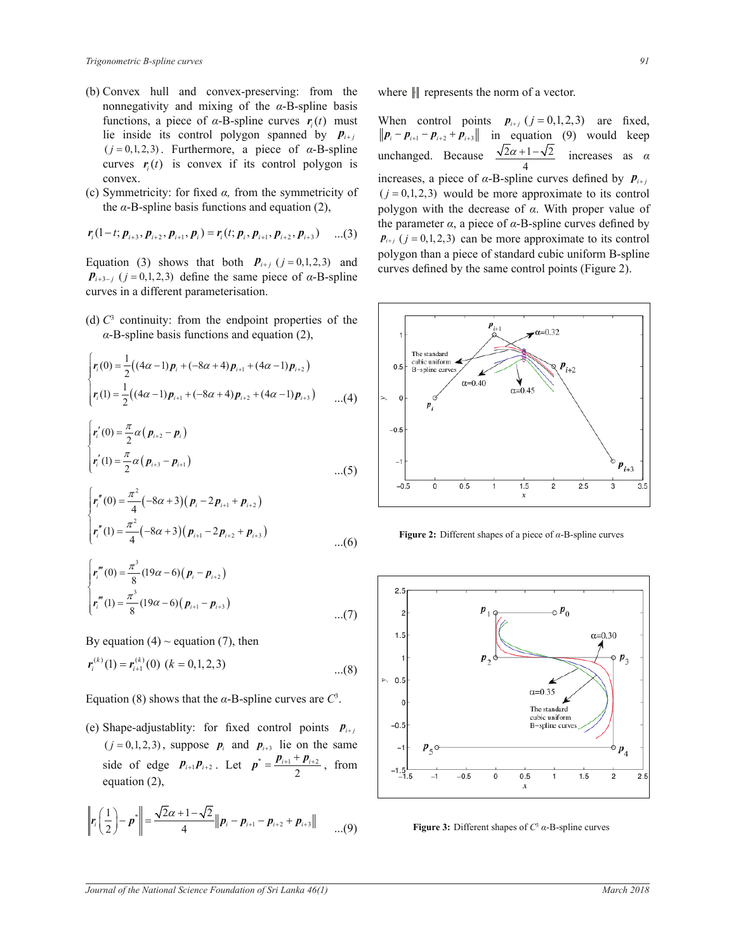- (b) Convex hull and convex-preserving: from the nonnegativity and mixing of the  $\alpha$ -B-spline basis functions, a piece of  $\alpha$ -B-spline curves  $r_i(t)$  must lie inside its control polygon spanned by  $P_{i+j}$  $(j = 0, 1, 2, 3)$ . Furthermore, a piece of  $\alpha$ -B-spline curves  $\mathbf{r}_i(t)$  is convex if its control polygon is convex.
- (c) Symmetricity: for fixed  $\alpha$ , from the symmetricity of the  $\alpha$ -B-spline basis functions and equation (2),

$$
\mathbf{r}_i(1-t; \mathbf{p}_{i+3}, \mathbf{p}_{i+2}, \mathbf{p}_{i+1}, \mathbf{p}_i) = \mathbf{r}_i(t; \mathbf{p}_i, \mathbf{p}_{i+1}, \mathbf{p}_{i+2}, \mathbf{p}_{i+3}) \quad \dots (3)
$$

Equation (3) shows that both  $P_{i+j}$  ( $j = 0,1,2,3$ ) and  $\mathbf{p}_{i+3-j}$  ( $j = 0,1,2,3$ ) define the same piece of  $\alpha$ -B-spline curves in a different parameterisation.

(d)  $C<sup>3</sup>$  continuity: from the endpoint properties of the  $\alpha$ -B-spline basis functions and equation (2),

$$
\begin{cases}\nr_i(0) = \frac{1}{2} \big( (4\alpha - 1) p_i + (-8\alpha + 4) p_{i+1} + (4\alpha - 1) p_{i+2} \big) \\
r_i(1) = \frac{1}{2} \big( (4\alpha - 1) p_{i+1} + (-8\alpha + 4) p_{i+2} + (4\alpha - 1) p_{i+3} \big) \qquad \dots (4)\n\end{cases}
$$

$$
\begin{cases}\nr'_i(0) = \frac{\pi}{2} \alpha (p_{i+2} - p_i) \\
r'_i(1) = \frac{\pi}{2} \alpha (p_{i+3} - p_{i+1})\n\end{cases} \n\tag{5}
$$

$$
\begin{cases}\nr_i''(0) = \frac{\pi^2}{4} (-8\alpha + 3) (p_i - 2p_{i+1} + p_{i+2}) \\
r_i''(1) = \frac{\pi^2}{4} (-8\alpha + 3) (p_{i+1} - 2p_{i+2} + p_{i+3})\n\end{cases} \tag{6}
$$

$$
\begin{cases}\nr_i^m(0) = \frac{\pi^3}{8} (19\alpha - 6) (p_i - p_{i+2}) \\
r_i^m(1) = \frac{\pi^3}{8} (19\alpha - 6) (p_{i+1} - p_{i+3})\n\end{cases} \tag{7}
$$

By equation (4)  $\sim$  equation (7), then

$$
\mathbf{r}_{i}^{(k)}(1) = \mathbf{r}_{i+1}^{(k)}(0) \ (k = 0, 1, 2, 3) \tag{8}
$$

Equation (8) shows that the  $\alpha$ -B-spline curves are  $C^3$ .

(e) Shape-adjustablity: for fixed control points  $P_{i+j}$  $(j = 0, 1, 2, 3)$ , suppose  $p_i$  and  $p_{i+3}$  lie on the same side of edge  $p_{i+1}p_{i+2}$ . Let  $p^* = \frac{p_{i+1} + p_{i+2}}{2}$  $p^* = \frac{p_{i+1} + p_{i+2}}{2}$ , from equation (2),

$$
\left\| \mathbf{r}_i \left( \frac{1}{2} \right) - \mathbf{p}^* \right\| = \frac{\sqrt{2\alpha + 1} - \sqrt{2}}{4} \left\| \mathbf{p}_i - \mathbf{p}_{i+1} - \mathbf{p}_{i+2} + \mathbf{p}_{i+3} \right\| \qquad \qquad ...(9)
$$

where  $\Vert \cdot \Vert$  represents the norm of a vector.

When control points  $p_{i+j}$  ( $j = 0,1,2,3$ ) are fixed,  $\|\boldsymbol{p}_i - \boldsymbol{p}_{i+1} - \boldsymbol{p}_{i+2} + \boldsymbol{p}_{i+3}\|$  in equation (9) would keep unchanged. Because  $\frac{\sqrt{2\alpha+1}-\sqrt{2}}{2}$ 4  $\frac{\alpha+1-\sqrt{2}}{\alpha}$  increases as  $\alpha$ increases, a piece of  $\alpha$ -B-spline curves defined by  $p_{i+j}$  $(j = 0,1,2,3)$  would be more approximate to its control polygon with the decrease of  $\alpha$ . With proper value of the parameter  $\alpha$ , a piece of  $\alpha$ -B-spline curves defined by  $p_{i+j}$  ( $j = 0,1,2,3$ ) can be more approximate to its control polygon than a piece of standard cubic uniform B-spline curves defined by the same control points (Figure 2).



**Figure 2:** Different shapes of a piece of  $\alpha$ -B-spline curves



**Figure 3:** Different shapes of  $C^3$   $\alpha$ -B-spline curves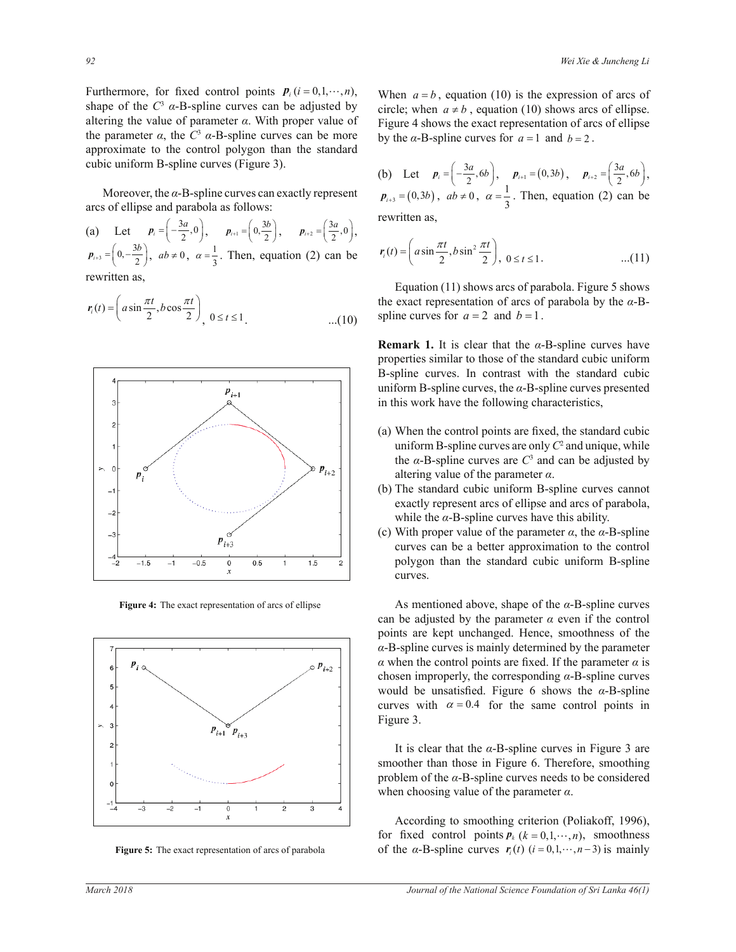Furthermore, for fixed control points  $P_i$  ( $i = 0, 1, \dots, n$ ), shape of the *C*<sup>3</sup> *α*-B-spline curves can be adjusted by Furthermore, for fixed control points  $P_i$  ( $i = 0, 1, \dots, n$ ), altering the value of parameter  $\alpha$ . With proper value of the parameter  $\alpha$ , the  $C^3$   $\alpha$ -B-spline curves can be more approximate to the control polygon than the standard cubic uniform B-spline curves (Figure 3).

Moreover, the  $\alpha$ -B-spline curves can exactly represent arcs of ellipse and parabola as follows:

 $\left(\begin{array}{cc} 2^{x-1} \\ a & \end{array}\right), \quad \mathbf{r}_{i+1}$ <br> $ab \neq 0, \quad a = \frac{1}{2}.$  Th (a) Let  $p_i = \left(-\frac{3a}{2}, 0\right), \quad p_{i+1} = \left(0, \frac{3b}{2}\right), \quad p_{i+2} = \left(\frac{3a}{2}, 0\right),$  $p_{i+3} = \left(0, -\frac{3b}{2}\right), \, ab \neq 0, \, \alpha = \frac{1}{3}$  $\alpha = \frac{1}{3}$ . Then, equation (2) can be rewritten as,

$$
r_i(t) = \left( a \sin \frac{\pi t}{2}, b \cos \frac{\pi t}{2} \right)_{1 \leq t \leq 1} 0 \leq t \leq 1. \tag{10}
$$



**Figure 4:** The exact representation of arcs of ellipse



**Figure 5:** The exact representation of arcs of parabola

When  $a = b$ , equation (10) is the expression of arcs of circle; when  $a \neq b$ , equation (10) shows arcs of ellipse. Figure 4 shows the exact representation of arcs of ellipse by the  $\alpha$ -B-spline curves for  $a = 1$  and  $b = 2$ .

(b) Let 
$$
p_i = \left(-\frac{3a}{2}, 6b\right)
$$
,  $p_{i+1} = (0, 3b)$ ,  $p_{i+2} = \left(\frac{3a}{2}, 6b\right)$ ,  
\n $p_{i+3} = (0, 3b)$ ,  $ab \neq 0$ ,  $\alpha = \frac{1}{3}$ . Then, equation (2) can be  
\nrewritten as,

$$
r_{i}(t) = \left(a\sin\frac{\pi t}{2}, b\sin^{2}\frac{\pi t}{2}\right), \ 0 \leq t \leq 1.
$$
 ... (11)

 Equation (11) shows arcs of parabola. Figure 5 shows the exact representation of arcs of parabola by the  $\alpha$ -Bspline curves for  $a = 2$  and  $b = 1$ .

**Remark 1.** It is clear that the  $\alpha$ -B-spline curves have properties similar to those of the standard cubic uniform B-spline curves. In contrast with the standard cubic uniform B-spline curves, the  $\alpha$ -B-spline curves presented in this work have the following characteristics,

- (a) When the control points are fixed, the standard cubic uniform B-spline curves are only  $C^2$  and unique, while the  $\alpha$ -B-spline curves are  $C^3$  and can be adjusted by altering value of the parameter  $\alpha$ .
- (b) The standard cubic uniform B-spline curves cannot exactly represent arcs of ellipse and arcs of parabola, while the  $\alpha$ -B-spline curves have this ability.
- (c) With proper value of the parameter  $\alpha$ , the  $\alpha$ -B-spline curves can be a better approximation to the control polygon than the standard cubic uniform B-spline curves.

As mentioned above, shape of the  $\alpha$ -B-spline curves can be adjusted by the parameter  $\alpha$  even if the control points are kept unchanged. Hence, smoothness of the  $\alpha$ -B-spline curves is mainly determined by the parameter  $\alpha$  when the control points are fixed. If the parameter  $\alpha$  is chosen improperly, the corresponding  $\alpha$ -B-spline curves would be unsatisfied. Figure 6 shows the  $\alpha$ -B-spline curves with  $\alpha = 0.4$  for the same control points in Figure 3.

It is clear that the  $\alpha$ -B-spline curves in Figure 3 are smoother than those in Figure 6. Therefore, smoothing problem of the  $\alpha$ -B-spline curves needs to be considered when choosing value of the parameter  $\alpha$ .

 According to smoothing criterion (Poliakoff, 1996), for fixed control points  $P_k$  ( $k = 0, 1, \dots, n$ ), smoothness of the  $\alpha$ -B-spline curves  $r_i(t)$  ( $i = 0, 1, \dots, n-3$ ) is mainly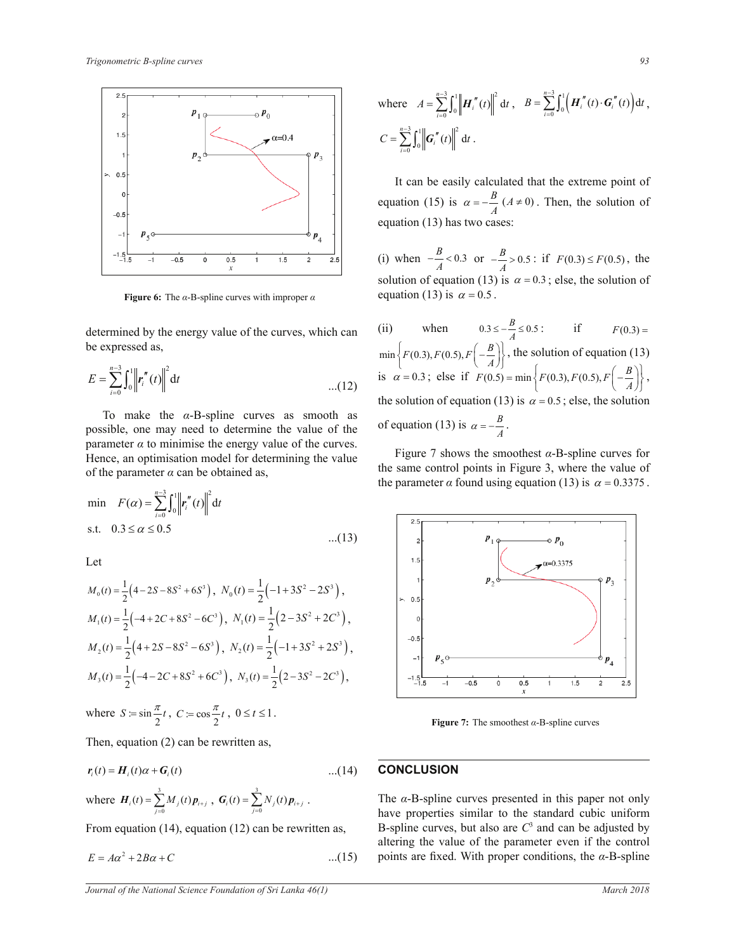

**Figure 6:** The  $\alpha$ -B-spline curves with improper  $\alpha$ 

determined by the energy value of the curves, which can be expressed as,

$$
E = \sum_{i=0}^{n-3} \int_0^1 \left\| \mathbf{r}_i''(t) \right\|^2 dt \qquad ...(12)
$$

To make the  $\alpha$ -B-spline curves as smooth as possible, one may need to determine the value of the parameter  $\alpha$  to minimise the energy value of the curves. Hence, an optimisation model for determining the value of the parameter  $\alpha$  can be obtained as,

min 
$$
F(\alpha) = \sum_{i=0}^{n-3} \int_0^1 \left\| r''_i(t) \right\|^2 dt
$$
  
s.t.  $0.3 \le \alpha \le 0.5$  ...(13)

Let

$$
M_0(t) = \frac{1}{2} \left(4 - 2S - 8S^2 + 6S^3\right), \ N_0(t) = \frac{1}{2} \left(-1 + 3S^2 - 2S^3\right),
$$
  
\n
$$
M_1(t) = \frac{1}{2} \left(-4 + 2C + 8S^2 - 6C^3\right), \ N_1(t) = \frac{1}{2} \left(2 - 3S^2 + 2C^3\right),
$$
  
\n
$$
M_2(t) = \frac{1}{2} \left(4 + 2S - 8S^2 - 6S^3\right), \ N_2(t) = \frac{1}{2} \left(-1 + 3S^2 + 2S^3\right),
$$
  
\n
$$
M_3(t) = \frac{1}{2} \left(-4 - 2C + 8S^2 + 6C^3\right), \ N_3(t) = \frac{1}{2} \left(2 - 3S^2 - 2C^3\right),
$$

where  $S := \sin \frac{\pi}{2} t$ ,  $C := \cos \frac{\pi}{2} t$ ,  $0 \le t \le 1$ .

Then, equation (2) can be rewritten as,

$$
\mathbf{r}_i(t) = \mathbf{H}_i(t)\alpha + \mathbf{G}_i(t) \tag{14}
$$

where 
$$
H_i(t) = \sum_{j=0}^{3} M_j(t) p_{i+j}
$$
,  $G_i(t) = \sum_{j=0}^{3} N_j(t) p_{i+j}$ .

From equation (14), equation (12) can be rewritten as,

$$
E = A\alpha^2 + 2B\alpha + C \tag{15}
$$

where 
$$
A = \sum_{i=0}^{n-3} \int_0^1 \left\| \mathbf{H}_i''(t) \right\|^2 dt, \quad B = \sum_{i=0}^{n-3} \int_0^1 \left( \mathbf{H}_i''(t) \cdot \mathbf{G}_i''(t) \right) dt,
$$

$$
C = \sum_{i=0}^{n-3} \int_0^1 \left\| \mathbf{G}_i''(t) \right\|^2 dt.
$$

 $\begin{array}{c} \n\end{array}$   $\begin{array}{c} A \\ \n\end{array}$  equation (13) has two cases: It can be easily calculated that the extreme point of equation (15) is  $\alpha = -\frac{B}{A} (A \neq 0)$ . Then, the solution of

> (i) when  $-\frac{B}{A}$  < 0.3 or  $-\frac{B}{A}$  > 0.5 : if *F*(0.3) ≤ *F*(0.5), the solution of equation (13) is  $\alpha = 0.3$ ; else, the solution of equation (13) is  $\alpha = 0.5$ .

 $\{F(0.5) = \min\left\{F(0.3), F(0.3)\right\}$ the solution of equation (13) is  $\alpha = 0.5$ ; else, the solution (ii) when  $0.3 \le -\frac{B}{A} \le 0.5$ ; if  $F(0.3) =$  $\blacksquare$  $\min \left\{ F(0.3), F(0.5), F\left(-\frac{B}{A}\right) \right\}$  $\min\left\{F(0.3), F(0.5), F\left(-\frac{B}{A}\right)\right\}$ , the solution of equation (13) is  $\alpha = 0.3$ ; else if  $F(0.5) = \min \left\{ F(0.3), F(0.5), F\left(-\frac{B}{A}\right) \right\}$  $= \min \left\{ F(0.3), F(0.5), F\left(-\frac{B}{A}\right) \right\},$ of equation (13) is  $\alpha = -\frac{B}{A}$ .

the same control points in Figure 3, where the value of Figure 7 shows the smoothest  $\alpha$ -B-spline curves for the parameter  $\alpha$  found using equation (13) is  $\alpha = 0.3375$ .



**Figure 7:** The smoothest  $\alpha$ -B-spline curves

## **CONCLUSION**

The  $\alpha$ -B-spline curves presented in this paper not only have properties similar to the standard cubic uniform B-spline curves, but also are  $C<sup>3</sup>$  and can be adjusted by altering the value of the parameter even if the control points are fixed. With proper conditions, the  $\alpha$ -B-spline